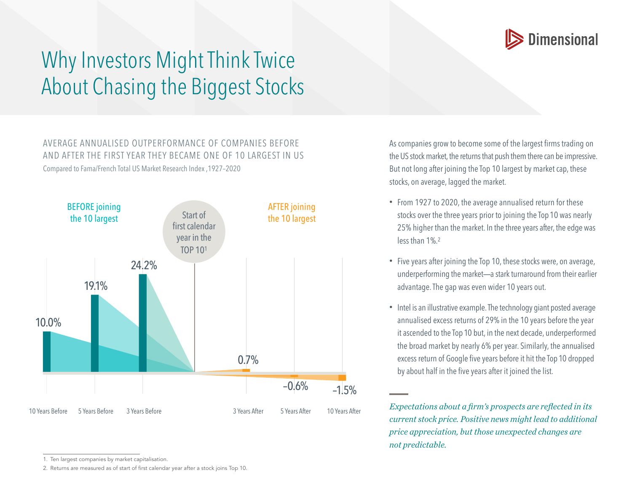

## Why Investors Might Think Twice About Chasing the Biggest Stocks

## AVERAGE ANNUALISED OUTPERFORMANCE OF COMPANIES BEFORE AND AFTER THE FIRST YEAR THEY BECAME ONE OF 10 LARGEST IN US Compared to Fama/French Total US Market Research Index ,1927–2020



As companies grow to become some of the largest firms trading on the US stock market, the returns that push them there can be impressive. But not long after joining the Top 10 largest by market cap, these stocks, on average, lagged the market.

- From 1927 to 2020, the average annualised return for these stocks over the three years prior to joining the Top 10 was nearly 25% higher than the market. In the three years after, the edge was less than 1%.2
- Five years after joining the Top 10, these stocks were, on average, underperforming the market—a stark turnaround from their earlier advantage. The gap was even wider 10 years out.
- Intel is an illustrative example. The technology giant posted average annualised excess returns of 29% in the 10 years before the year it ascended to the Top 10 but, in the next decade, underperformed the broad market by nearly 6% per year. Similarly, the annualised excess return of Google five years before it hit the Top 10 dropped by about half in the five years after it joined the list.

*Expectations about a firm's prospects are reflected in its current stock price. Positive news might lead to additional price appreciation, but those unexpected changes are not predictable.*

<sup>1.</sup> Ten largest companies by market capitalisation.

<sup>2.</sup> Returns are measured as of start of first calendar year after a stock joins Top 10.